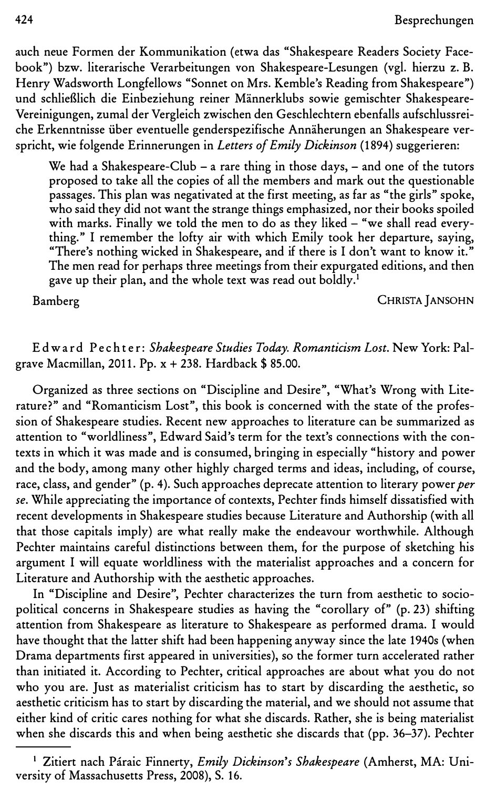auch neue Formen der Kommunikation (etwa das "Shakespeare Readers Society Facebook") bzw. literarische Verarbeitungen von Shakespeare-Lesungen (vgl. hierzu z. B. Henry Wadsworth Longfellows "Sonnet on Mrs. Kemble's Reading from Shakespeare") und schlieBlich die Einbeziehung reiner Mannerklubs sowie gemischter Shakespeare-Vereinigungen, zumal der Vergleich zwischen den Geschlechtern ebenfalls aufschlussreiche Erkenntnisse iiber eventuelle genderspezifische Annaherungen an Shakespeare verspricht, wie folgende Erinnerungen in Letters of Emily Dickinson (1894) suggerieren:

We had a Shakespeare-Club  $-$  a rare thing in those days,  $-$  and one of the tutors proposed to take all the copies of all the members and mark out the questionable passages. This plan was negativated at the first meeting, as far as "the girls" spoke, who said they did not want the strange things emphasized, nor their books spoiled with marks. Finally we told the men to do as they liked  $-$  "we shall read everything." I remember the lofty air with which Emily took her departure, saying, "There's nothing wicked in Shakespeare, and if there is I don't want to know it." The men read for perhaps three meetings from their expurgated editions, and then gave up their plan, and the whole text was read out boldly.<sup>1</sup>

Bamberg CHRISTAjANSOHN

Ed ward Pech te r: Shakespeare Studies Today. Romanticism Lost. New York: Palgrave Macmillan, 2011. Pp.  $x + 238$ . Hardback \$ 85.00.

Organized as three sections on "Discipline and Desire", "What's Wrong with Literature?" and "Romanticism Lost", this book is concerned with the state of the profession of Shakespeare studies. Recent new approaches to literature can be summarized as attention to "worldliness", Edward Said's term for the text's connections with the contexts in which it was made and is consumed, bringing in especially "history and power and the body, among many other highly charged terms and ideas, including, of course, race, class, and gender" (p. 4). Such approaches deprecate attention to literary power *per* se. While appreciating the importance of contexts, Pechter finds himself dissatisfied with recent developments in Shakespeare studies because Literature and Authorship (with all that those capitals imply) are what really make the endeavour worthwhile. Although Pechter maintains careful distinctions between them, for the purpose of sketching his argument I will equate worldliness with the materialist approaches and a concern for Literature and Authorship with the aesthetic approaches.

In "Discipline and Desire'', Pechter characterizes the turn from aesthetic to sociopolitical concerns in Shakespeare studies as having the "corollary of" (p. 23) shifting attention from Shakespeare as literature to Shakespeare as performed drama. I would have thought that the latter shift had been happening anyway since the late 1940s (when Drama departments first appeared in universities), so the former turn accelerated rather than initiated it. According to Pechter, critical approaches are about what you do not who you are. Just as materialist criticism has to start by discarding the aesthetic, so aesthetic criticism has to start by discarding the material, and we should not assume that either kind of critic cares nothing for what she discards. Rather, she is being materialist when she discards this and when being aesthetic she discards that (pp. 36-37). Pechter

<sup>&</sup>lt;sup>1</sup> Zitiert nach Páraic Finnerty, *Emily Dickinson's Shakespeare* (Amherst, MA: University of Massachusetts Press, 2008), S. 16.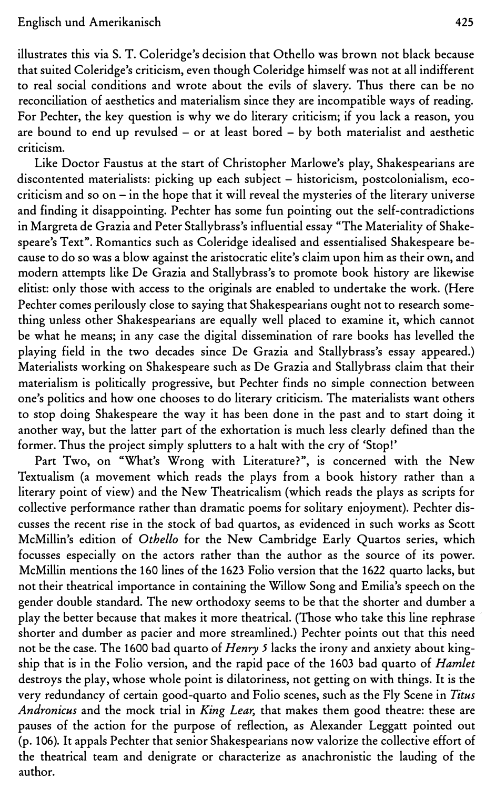illustrates this via S. T. Coleridge's decision that Othello was brown not black because that suited Coleridge's criticism, even though Coleridge himself was not at all indifferent to real social conditions and wrote about the evils of slavery. Thus there can be no reconciliation of aesthetics and materialism since they are incompatible ways of reading. For Pechter, the key question is why we do literary criticism; if you lack a reason, you are bound to end up revulsed - or at least bored - by both materialist and aesthetic criticism.

Like Doctor Faustus at the start of Christopher Marlowe's play, Shakespearians are discontented materialists: picking up each subject - historicism, postcolonialism, ecocriticism and so on - in the hope that it will reveal the mysteries of the literary universe and finding it disappointing. Pechter has some fun pointing out the self-contradictions in Margreta de Grazia and Peter Stallybrass's influential essay "The Materiality of Shakespeare's Text". Romantics such as Coleridge idealised and essentialised Shakespeare because to do so was a blow against the aristocratic elite's claim upon him as their own, and modern attempts like De Grazia and Stallybrass's to promote book history are likewise elitist: only those with access to the originals are enabled to undertake the work. (Here Pechter comes perilously close to saying that Shakespearians ought not to research something unless other Shakespearians are equally well placed to examine it, which cannot be what he means; in any case the digital dissemination of rare books has levelled the playing field in the two decades since De Grazia and Stallybrass's essay appeared.) Materialists working on Shakespeare such as De Grazia and Stallybrass claim that their materialism is politically progressive, but Pechter finds no simple connection between one's politics and how one chooses to do literary criticism. The materialists want others to stop doing Shakespeare the way it has been done in the past and to start doing it another way, but the latter part of the exhortation is much less clearly defined than the former. Thus the project simply splutters to a halt with the cry of 'Stop!'

Part Two, on "What's Wrong with Literature?", is concerned with the New Textualism (a movement which reads the plays from a book history rather than a literary point of view) and the New Theatricalism (which reads the plays as scripts for collective performance rather than dramatic poems for solitary enjoyment). Pechter discusses the recent rise in the stock of bad quartos, as evidenced in such works as Scott McMillin's edition of Othello for the New Cambridge Early Quartos series, which focusses especially on the actors rather than the author as the source of its power. McMillin mentions the 160 lines of the 1623 Folio version that the 1622 quarto lacks, but not their theatrical importance in containing the Willow Song and Emilia's speech on the gender double standard. The new orthodoxy seems to be that the shorter and dumber a play the better because that makes it more theatrical. (Those who take this line rephrase shorter and dumber as pacier and more streamlined.) Pechter points out that this need not be the case. The 1600 bad quarto of Henry 5 lacks the irony and anxiety about kingship that is in the Folio version, and the rapid pace of the 1603 bad quarto of Hamlet destroys the play, whose whole point is dilatoriness, not getting on with things. It is the very redundancy of certain good-quarto and Folio scenes, such as the Fly Scene in Titus Andronicus and the mock trial in King Lear, that makes them good theatre: these are pauses of the action for the purpose of reflection, as Alexander Leggatt pointed out (p. 106). It appals Pechter that senior Shakespearians now valorize the collective effort of the theatrical team and denigrate or characterize as anachronistic the lauding of the author.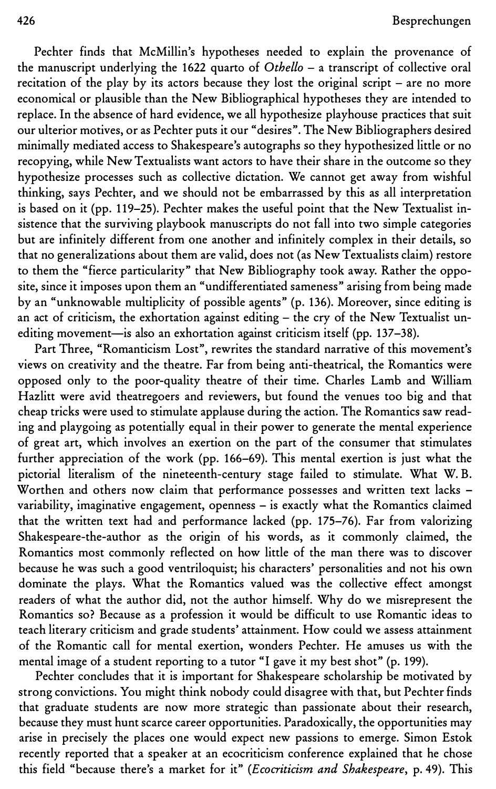Pechter finds that McMillin's hypotheses needed to explain the provenance of the manuscript underlying the 1622 quarto of Othello  $-$  a transcript of collective oral recitation of the play by its actors because they lost the original script - are no more economical or plausible than the New Bibliographical hypotheses they are intended to replace. In the absence of hard evidence, we all hypothesize playhouse practices that suit our ulterior motives, or as Pechter puts it our "desires". The New Bibliographers desired minimally mediated access to Shakespeare's autographs so they hypothesized little or no recopying, while New Textualists want actors to have their share in the outcome so they hypothesize processes such as collective dictation. We cannot get away from wishful thinking, says Pechter, and we should not be embarrassed by this as all interpretation is based on it (pp. 119-25). Pechter makes the useful point that the New Textualist insistence that the surviving playbook manuscripts do not fall into two simple categories but are infinitely different from one another and infinitely complex in their details, so that no generalizations about them are valid, does not (as New Textualists claim) restore to them the "fierce particularity" that New Bibliography took away. Rather the opposite, since it imposes upon them an "undifferentiated sameness" arising from being made by an "unknowable multiplicity of possible agents" (p. 136). Moreover, since editing is an act of criticism, the exhortation against editing - the cry of the New Textualist unediting movement-is also an exhortation against criticism itself (pp. 137-38).

Part Three, "Romanticism Lost", rewrites the standard narrative of this movement's views on creativity and the theatre. Far from being anti-theatrical, the Romantics were opposed only to the poor-quality theatre of their time. Charles Lamb and William Hazlitt were avid theatregoers and reviewers, but found the venues too big and that cheap tricks were used to stimulate applause during the action. The Romantics saw reading and playgoing as potentially equal in their power to generate the mental experience of great art, which involves an exertion on the part of the consumer that stimulates further appreciation of the work (pp. 166-69). This mental exertion is just what the pictorial literalism of the nineteenth-century stage failed to stimulate. What W. B. Worthen and others now claim that performance possesses and written text lacks variability, imaginative engagement, openness - is exactly what the Romantics claimed that the written text had and performance lacked (pp. 175-76). Far from valorizing Shakespeare-the-author as the origin of his words, as it commonly claimed, the Romantics most commonly reflected on how little of the man there was to discover because he was such a good ventriloquist; his characters' personalities and not his own dominate the plays. What the Romantics valued was the collective effect amongst readers of what the author did, not the author himself. Why do we misrepresent the Romantics so? Because as a profession it would be difficult to use Romantic ideas to teach literary criticism and grade students' attainment. How could we assess attainment of the Romantic call for mental exertion, wonders Pechter. He amuses us with the mental image of a student reporting to a tutor "I gave it my best shot" (p. 199).

Pechter concludes that it is important for Shakespeare scholarship be motivated by strong convictions. You might think nobody could disagree with that, but Pechter finds that graduate students are now more strategic than passionate about their research, because they must hunt scarce career opportunities. Paradoxically, the opportunities may arise in precisely the places one would expect new passions to emerge. Simon Estok recently reported that a speaker at an ecocriticism conference explained that he chose this field "because there's a market for it" (Ecocriticism and Shakespeare, p. 49). This